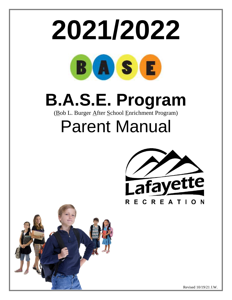



Revised 10/19/21 J.W.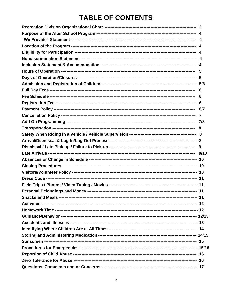# **TABLE OF CONTENTS**

|  | $\overline{7}$ |  |  |  |
|--|----------------|--|--|--|
|  |                |  |  |  |
|  |                |  |  |  |
|  |                |  |  |  |
|  |                |  |  |  |
|  |                |  |  |  |
|  |                |  |  |  |
|  |                |  |  |  |
|  |                |  |  |  |
|  |                |  |  |  |
|  |                |  |  |  |
|  |                |  |  |  |
|  |                |  |  |  |
|  |                |  |  |  |
|  |                |  |  |  |
|  |                |  |  |  |
|  |                |  |  |  |
|  |                |  |  |  |
|  |                |  |  |  |
|  |                |  |  |  |
|  |                |  |  |  |
|  |                |  |  |  |
|  |                |  |  |  |
|  |                |  |  |  |
|  |                |  |  |  |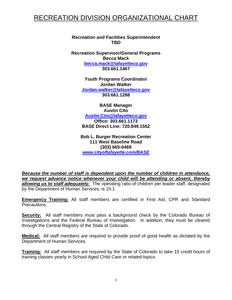# RECREATION DIVISION ORGANIZATIONAL CHART

**Recreation and Facilities Superintendent TBD**

**Recreation Supervisor/General Programs Becca Mack becca.mack@lafayetteco.gov 303.661.1467**

> **Youth Programs Coordinator Jordan Walker [Jordan.walker@lafayetteco.gov](mailto:Jordan.walker@lafayetteco.gov) 303.661.1288**

**BASE Manager Austin Cito [Austin.Cito@lafayetteco.gov](mailto:Austin.Cito@lafayetteco.gov) Office: 303.661.1173 BASE Direct Line: 720.849.1552**

**Bob L. Burger Recreation Center 111 West Baseline Road (303) 665-0469** *[www.cityoflafayette.com/BASE](http://www.cityoflafayette.com/BASE)*

*Because the number of staff is dependent upon the number of children in attendance, we request advance notice whenever your child will be attending or absent, thereby allowing us to staff adequately.* The operating ratio of children per leader staff, designated by the Department of Human Services, is 15:1.

**Emergency Training:** All staff members are certified in First Aid, CPR and Standard Precautions.

**Security:** All staff members must pass a background check by the Colorado Bureau of Investigations and the Federal Bureau of Investigation. In addition, they must be cleared through the Central Registry of the State of Colorado.

**Medical:** All staff members are required to provide proof of good health as dictated by the Department of Human Services.

**Training:** All staff members are required by the State of Colorado to take 15 credit hours of training classes yearly in School-Aged Child Care or related topics.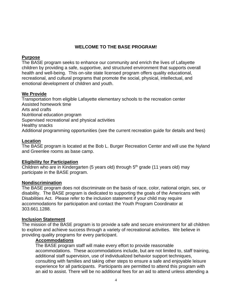# **WELCOME TO THE BASE PROGRAM!**

#### **Purpose**

The BASE program seeks to enhance our community and enrich the lives of Lafayette children by providing a safe, supportive, and structured environment that supports overall health and well-being. This on-site state licensed program offers quality educational, recreational, and cultural programs that promote the social, physical, intellectual, and emotional development of children and youth.

# **We Provide**

Transportation from eligible Lafayette elementary schools to the recreation center Assisted homework time Arts and crafts Nutritional education program Supervised recreational and physical activities Healthy snacks Additional programming opportunities (see the current recreation guide for details and fees)

#### **Location**

The BASE program is located at the Bob L. Burger Recreation Center and will use the Nyland and Greenlee rooms as base camp.

#### **Eligibility for Participation**

Children who are in Kindergarten (5 years old) through 5<sup>th</sup> grade (11 years old) may participate in the BASE program.

# **Nondiscrimination**

The BASE program does not discriminate on the basis of race, color, national origin, sex, or disability. The BASE program is dedicated to supporting the goals of the Americans with Disabilities Act. Please refer to the inclusion statement if your child may require accommodations for participation and contact the Youth Program Coordinator at 303.661.1288.

# **Inclusion Statement**

The mission of the BASE program is to provide a safe and secure environment for all children to explore and achieve success through a variety of recreational activities. We believe in providing quality programs for every participant.

#### **Accommodations**

The BASE program staff will make every effort to provide reasonable accommodations. These accommodations include, but are not limited to, staff training, additional staff supervision, use of individualized behavior support techniques, consulting with families and taking other steps to ensure a safe and enjoyable leisure experience for all participants. Participants are permitted to attend this program with an aid to assist. There will be no additional fees for an aid to attend unless attending a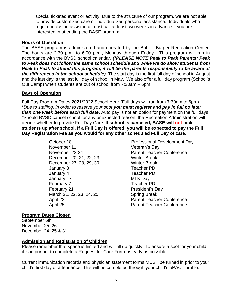special ticketed event or activity. Due to the structure of our program, we are not able to provide customized care or individualized personal assistance. Individuals who require inclusion assistance must call at least two weeks in advance if you are interested in attending the BASE program.

# **Hours of Operation**

The BASE program is administered and operated by the Bob L. Burger Recreation Center. The hours are 2:30 p.m. to 6:00 p.m., Monday through Friday. This program will run in accordance with the BVSD school calendar. *(\*PLEASE NOTE Peak to Peak Parents: Peak to Peak does not follow the same school schedule and while we do allow students from Peak to Peak to attend this program, it will be the parents responsibility to be aware of the differences in the school schedule).* The start day is the first full day of school in August and the last day is the last full day of school in May. We also offer a full day program (School's Out Camp) when students are out of school from 7:30am – 6pm.

# **Days of Operation**

Full Day Program Dates 2021/2022 School Year (Full days will run from 7:30am to 6pm) \**Due to staffing, in order to reserve your spot you must register and pay in full no later than one week before each full date***.** Auto pay is not an option for payment on the full days. \*Should BVSD cancel school for any unexpected reason, the Recreation Administration will decide whether to provide Full Day Care. **If school is canceled, BASE will not pick students up after school. If a Full Day is offered, you will be expected to pay the Full Day Registration Fee as you would for any other scheduled Full Day of care.**

- November 11 Veteran's Day December 20, 21, 22, 23 Winter Break December 27, 28, 29, 30 Winter Break January 3 Teacher PD January 4 Teacher PD January 17 MLK Day February 7 Teacher PD February 21 **President's Day** March 21, 22, 23, 24, 25 Spring Break
- October 18 **Professional Development Day** November 22-24 Parent Teacher Conference April 22 **Parent Teacher Conference** April 25 Parent Teacher Conference

# **Program Dates Closed**

September 6th November 25, 26 December 24, 25 & 31

# **Admission and Registration of Children**

Please remember that space is limited and will fill up quickly. To ensure a spot for your child, it is important to complete a Request for Care Form as early as possible.

Current immunization records and physician statement forms MUST be turned in prior to your child's first day of attendance. This will be completed through your child's ePACT profile.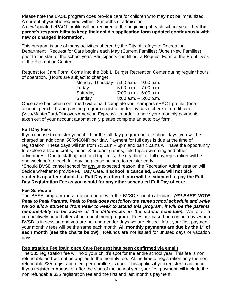Please note the BASE program does provide care for children who may **not** be immunized. A current physical is required within 12 months of admission.

A new/updated ePACT profile will be required at the beginning of each school year. **It is the parent's responsibility to keep their child's application form updated continuously with new or changed information.** 

This program is one of many activities offered by the City of Lafayette Recreation Department. Request for Care begins each May (Current Families) /June (New Families) prior to the start of the school year. Participants can fill out a Request Form at the Front Desk of the Recreation Center.

Request for Care Form: Come into the Bob L. Burger Recreation Center during regular hours of operation. (Hours are subject to change)

|          | Monday-Thursday $5:00$ a.m. $-9:00$ p.m. |
|----------|------------------------------------------|
| Friday   | $5:00$ a.m. $-7:00$ p.m.                 |
| Saturday | $7:00$ a.m. $-6:00$ p.m.                 |
| Sunday   | $8:00$ a.m. $-5:00$ p.m.                 |
|          |                                          |

Once care has been confirmed (via email) complete your campers ePACT profile, (one account per child) and pay the program registration fee by cash, check or credit card (Visa/MasterCard/Discover/American Express). In order to have your monthly payments taken out of your account automatically please complete an auto pay form.

# **Full Day Fees**

If you choose to register your child for the full day program on off-school days, you will be charged an additional 50R/\$60NR per day. Payment for full days is due at the time of registration. These days will run from 7:30am – 6pm and participants will have the opportunity to explore arts and crafts, indoor & outdoor games, field trips, swimming and other adventures! Due to staffing and field trip limits, the deadline for full day registration will be one week before each full day, so please be sure to register early!

\*Should BVSD cancel school for any unexpected reason, the Recreation Administration will decide whether to provide Full Day Care. **If school is canceled, BASE will not pick students up after school. If a Full Day is offered, you will be expected to pay the Full Day Registration Fee as you would for any other scheduled Full Day of care.**

# **Fee Schedule**

The BASE program runs in accordance with the BVSD school calendar. *(\*PLEASE NOTE Peak to Peak Parents: Peak to Peak does not follow the same school schedule and while we do allow students from Peak to Peak to attend this program, it will be the parents responsibility to be aware of the differences in the school schedule).* We offer a competitively priced afterschool enrichment program. Fees are based on contact days when BVSD is in session and you are not charged for days we are closed. After your first payment, your monthly fees will be the same each month. **All monthly payments are due by the 1st of each month (see the charts below).** Refunds are not issued for unused days or vacation days.

# **Registration Fee (paid once Care Request has been confirmed via email)**

The \$35 registration fee will hold your child's spot for the entire school year. This fee is non refundable and will not be applied to the monthly fee. At the time of registration only the non refundable \$35 registration fee, per enrollee, is due. This applies if you register in advance. If you register in August or after the start of the school year your first payment will include the non refundable \$35 registration fee and the first and last month's payment.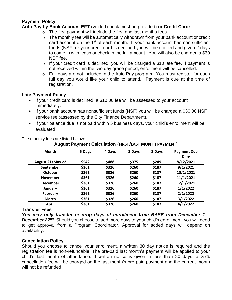# **Payment Policy**

# **Auto Pay by Bank Account EFT** (voided check must be provided) **or Credit Card:**

- $\circ$  The first payment will include the first and last months fees.
- $\circ$  The monthly fee will be automatically withdrawn from your bank account or credit card account on the 1st of each month. If your bank account has non sufficient funds (NSF) or your credit card is declined you will be notified and given 2 days to come in with, cash or check in the full amount. You will also be charged a \$30 NSF fee.
- $\circ$  If your credit card is declined, you will be charged a \$10 late fee. If payment is not received within the two day grace period, enrollment will be cancelled.
- o Full days are not included in the Auto Pay program. You must register for each full day you would like your child to attend. Payment is due at the time of registration.

#### **Late Payment Policy**

- If your credit card is declined, a \$10.00 fee will be assessed to your account immediately.
- If your bank account has nonsufficient funds (NSF) you will be charged a \$30.00 NSF service fee (assessed by the City Finance Department).
- If your balance due is not paid within 5 business days, your child's enrollment will be evaluated.

| The monthly fees are listed below: |
|------------------------------------|
|                                    |

**August Payment Calculation (FIRST/LAST MONTH PAYMENT)**

| <b>Month</b>     | 5 Days | 4 Days | 3 Days | 2 Days | <b>Payment Due</b> |
|------------------|--------|--------|--------|--------|--------------------|
|                  |        |        |        |        | Date               |
| August 21/May 22 | \$542  | \$488  | \$375  | \$249  | 8/12/2021          |
| September        | \$361  | \$326  | \$260  | \$187  | 9/1/2021           |
| <b>October</b>   | \$361  | \$326  | \$260  | \$187  | 10/1/2021          |
| <b>November</b>  | \$361  | \$326  | \$260  | \$187  | 11/1/2021          |
| <b>December</b>  | \$361  | \$326  | \$260  | \$187  | 12/1/2021          |
| January          | \$361  | \$326  | \$260  | \$187  | 1/1/2022           |
| February         | \$361  | \$326  | \$260  | \$187  | 2/1/2022           |
| <b>March</b>     | \$361  | \$326  | \$260  | \$187  | 3/1/2022           |
| <b>April</b>     | \$361  | \$326  | \$260  | \$187  | 4/1/2022           |

#### **Transfer Fees**

*You may only transfer or drop days of enrollment from BASE from December 1 –* **December 22<sup>nd</sup>**. Should you choose to add more days to your child's enrollment, you will need to get approval from a Program Coordinator. Approval for added days will depend on availability.

# **Cancellation Policy**

Should you choose to cancel your enrollment, a written 30 day notice is required and the registration fee is non-refundable. The pre-paid last month's payment will be applied to your child's last month of attendance. If written notice is given in less than 30 days, a 25% cancellation fee will be charged on the last month's pre-paid payment and the current month will not be refunded.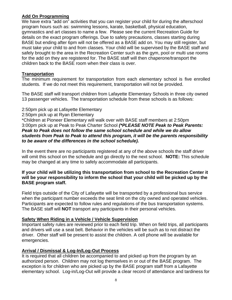# **Add On Programming**

We have extra "add on" activities that you can register your child for during the afterschool program hours such as: swimming lessons, karate, basketball, physical education, gymnastics and art classes to name a few. Please see the current Recreation Guide for details on the exact program offerings. Due to safety precautions, classes starting during BASE but ending after 6pm will not be offered as a BASE add on. You may still register, but must take your child to and from classes. Your child will be supervised by the BASE staff and safely brought to the area in the Recreation Center such as the gym, pool or multi use rooms for the add on they are registered for. The BASE staff will then chaperone/transport the children back to the BASE room when their class is over.

# **Transportation**

The minimum requirement for transportation from each elementary school is five enrolled students. If we do not meet this requirement, transportation will not be provided.

The BASE staff will transport children from Lafayette Elementary Schools in three city owned 13 passenger vehicles. The transportation schedule from these schools is as follows:

# 2:50pm pick up at Lafayette Elementary

2:50pm pick up at Ryan Elementary

\*Children at Pioneer Elementary will walk over with BASE staff members at 2:50pm 3:00pm pick up at Peak to Peak Charter School *(\*PLEASE NOTE Peak to Peak Parents: Peak to Peak does not follow the same school schedule and while we do allow students from Peak to Peak to attend this program, it will be the parents responsibility to be aware of the differences in the school schedule).*

In the event there are no participants registered at any of the above schools the staff driver will omit this school on the schedule and go directly to the next school. **NOTE:** This schedule may be changed at any time to safely accommodate all participants.

#### **If your child will be utilizing this transportation from school to the Recreation Center it will be your responsibility to inform the school that your child will be picked up by the BASE program staff.**

Field trips outside of the City of Lafayette will be transported by a professional bus service when the participant number exceeds the seat limit on the city owned and operated vehicles. Participants are expected to follow rules and regulations of the bus transportation systems. The BASE staff will **NOT** transport any participants in their personal vehicles.

# **Safety When Riding in a Vehicle / Vehicle Supervision**

Important safety rules are reviewed prior to each field trip. When on field trips, all participants and drivers will use a seat belt. Behavior in the vehicles will be such as to not distract the driver. Other staff will be present to assist the children. A cell phone will be available for emergencies.

# **Arrival / Dismissal & Log-In/Log-Out Process**

It is required that all children be accompanied to and picked up from the program by an authorized person. Children may not log themselves in or out of the BASE program. The exception is for children who are picked up by the BASE program staff from a Lafayette elementary school. Log-in/Log-Out will provide a clear record of attendance and tardiness for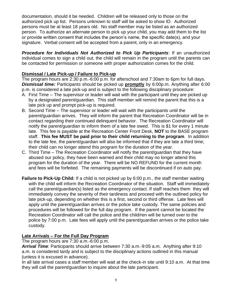documentation, should it be needed. Children will be released only to those on the authorized pick up list. Persons unknown to staff will be asked to show ID. Authorized persons must be at least 18 years old. No staff member may be listed as an authorized person. To authorize an alternate person to pick up your child, you may add them to the list or provide written consent that includes the person's name, the specific date(s), and your signature. Verbal consent will be accepted from a parent, only in an emergency.

*Procedure for Individuals Not Authorized to Pick Up Participants*: If an unauthorized individual comes to sign a child out, the child will remain in the program until the parents can be contacted for permission or someone with proper authorization comes for the child.

# **Dismissal / Late Pick-up / Failure to Pick-up**

The program hours are 2:30 p.m.-6:00 p.m. for afterschool and 7:30am to 6pm for full days. *Dismissal time:* Participant*s* should be picked up **promptly** by 6:00p.m. Anything after 6:00 p.m. is considered a late pick-up and is subject to the following disciplinary procedure:

- A. First Time The supervisor or leader will wait with the participant until they are picked up by a designated parent/guardian. This staff member will remind the parent that this is a late pick up and prompt pick-up is required.
- B. Second Time The supervisor or leader will wait with the participants until the parent/guardian arrives. They will inform the parent that Recreation Coordinator will be in contact regarding their continued delinquent behavior. The Recreation Coordinator will notify the parent/guardian to inform them of a late fee owed. This is \$1 for every 1 minute late. This fee is payable at the Recreation Center Front Desk, **NOT** to the BASE program staff. **This fee MUST be paid prior to their child returning to the program**. In addition to the late fee, the parent/guardian will also be informed that if they are late a third time; their child can no longer attend this program for the duration of the year.
- C. Third Time The Recreation Coordinator will notify the parent/guardian that they have abused our policy, they have been warned and their child may no longer attend this program for the duration of the year. There will be NO REFUND for the current month and fees will be forfeited. The remaining payments will be discontinued if on auto pay.
- **Failure to Pick-Up Child:** If a child is not picked up by 6:00 p.m., the staff member waiting with the child will inform the Recreation Coordinator of the situation. Staff will immediately call the parent/guardian(s) listed as the emergency contact. If staff reaches them they will immediately convey the severity of their tardiness and proceed with the outlined policy for late pick-up, depending on whether this is a first, second or third offense. Late fees will apply until the parent/guardian arrives or the police take custody. The same policies and procedures will be followed for the full day program. If the parent cannot be located the Recreation Coordinator will call the police and the child/ren will be turned over to the police by 7:00 p.m. Late fees will apply until the parent/guardian arrives or the police take custody.

# **Late Arrivals – For the Full Day Program**

The program hours are 7:30 a.m.-6:00 p.m.

*Arrival Time*: Participants should arrive between 7:30 a.m.-9:05 a.m. Anything after 9:10 a.m. is considered tardy and is subject to the disciplinary actions outlined in this manual (unless it is excused in advance).

In all late arrival cases a staff member will wait at the check-in site until 9:10 a.m. At that time they will call the parent/guardian to inquire about the late participant.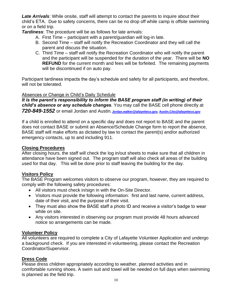*Late Arrivals*: While onsite, staff will attempt to contact the parents to inquire about their child's ETA. Due to safety concerns, there can be no drop off while camp is offsite swimming or on a field trip.

*Tardiness*: The procedure will be as follows for late arrivals:

- A. First Time participant with a parent/guardian will log-in late.
- B. Second Time staff will notify the Recreation Coordinator and they will call the parent and discuss the situation.
- C. Third Time staff will notify the Recreation Coordinator who will notify the parent and the participant will be suspended for the duration of the year. There will be **NO REFUND** for the current month and fees will be forfeited. The remaining payments will be discontinued if on auto pay.

Participant tardiness impacts the day's schedule and safety for all participants, and therefore, will not be tolerated.

# Absences or Change in Child's Daily Schedule

*It is the parent's responsibility to inform the BASE program staff (in writing) of their child's absence or any schedule changes.* You may call the BASE cell phone directly at *720-849-1552* or email Jordan and Austin*.* **[Jordan.walker@lafayetteco.gov,](mailto:Jordan.walker@lafayetteco.gov) [Austin.Cito@lafayetteco.gov](mailto:Austin.Cito@lafayetteco.gov)**

If a child is enrolled to attend on a specific day and does not report to BASE and the parent does not contact BASE or submit an Absence/Schedule Change form to report the absence, BASE staff will make efforts as dictated by law to contact the parent(s) and/or authorized emergency contacts, up to and including 911.

# **Closing Procedures**

After closing hours, the staff will check the log in/out sheets to make sure that all children in attendance have been signed out. The program staff will also check all areas of the building used for that day. This will be done prior to staff leaving the building for the day.

# **Visitors Policy**

The BASE Program welcomes visitors to observe our program, however, they are required to comply with the following safety procedures:

- All visitors must check in/sign in with the On-Site Director.
- Visitors must provide the following information: first and last name, current address, date of their visit, and the purpose of their visit.
- They must also show the BASE staff a photo ID and receive a visitor's badge to wear while on site.
- Any visitors interested in observing our program must provide 48 hours advanced notice so arrangements can be made.

# **Volunteer Policy**

All volunteers are required to complete a City of Lafayette Volunteer Application and undergo a background check. If you are interested in volunteering, please contact the Recreation Coordinator/Supervisor.

# **Dress Code**

Please dress children appropriately according to weather, planned activities and in comfortable running shoes. A swim suit and towel will be needed on full days when swimming is planned as the field trip.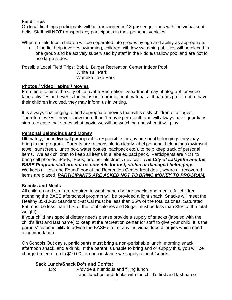# **Field Trips**

On local field trips participants will be transported in 13 passenger vans with individual seat belts. Staff will **NOT** transport any participants in their personal vehicles.

When on field trips, children will be separated into groups by age and ability as appropriate.

• If the field trip involves swimming, children with low swimming abilities will be placed in one group and be actively supervised by staff in the kiddie/shallow pool and are not to use large slides.

Possible Local Field Trips: Bob L. Burger Recreation Center Indoor Pool White Tail Park Waneka Lake Park

#### **Photos / Video Taping / Movies**

From time to time, the City of Lafayette Recreation Department may photograph or video tape activities and events for inclusion in promotional materials. If parents prefer not to have their children involved, they may inform us in writing.

It is always challenging to find appropriate movies that will satisfy children of all ages. Therefore, we will never show more than 1 movie per month and will always have guardians sign a release that states what movie we will be watching and when it will play.

#### **Personal Belongings and Money**

Ultimately, the individual participant is responsible for any personal belongings they may bring to the program. Parents are responsible to clearly label personal belongings (swimsuit, towel, sunscreen, lunch box, water bottles, backpack etc.), to help keep track of personal items. We ask children to keep all items in a labeled backpack. Participants are NOT to bring cell phones, iPads, iPods, or other electronic devices. *The City of Lafayette and the BASE Program staff are not responsible for lost, stolen or damaged belongings.* We keep a "Lost and Found" box at the Recreation Center front desk, where all recovered items are placed. *PARTICIPANTS ARE ASKED NOT TO BRING MONEY TO PROGRAM.*

#### **Snacks and Meals**

All children and staff are required to wash hands before snacks and meals. All children attending the BASE afterschool program will be provided a light snack. Snacks will meet the Healthy 35-10-35 Standard (Fat Cal must be less than 35% of the total calories, Saturated Fat must be less than 10% of the total calories and Sugar must be less than 35% of the total weight).

If your child has special dietary needs please provide a supply of snacks (labeled with the child's first and last name) to keep at the recreation center for staff to give your child. It is the parents' responsibility to advise the BASE staff of any individual food allergies which need accommodation.

On Schools Out day's, participants must bring a non-perishable lunch, morning snack, afternoon snack, and a drink. If the parent is unable to bring and or supply this, you will be charged a fee of up to \$10.00 for each instance we supply a lunch/snack.

# **Sack Lunch/Snack Do's and Don'ts:**

Do: Provide a nutritious and filling lunch Label lunches and drinks with the child's first and last name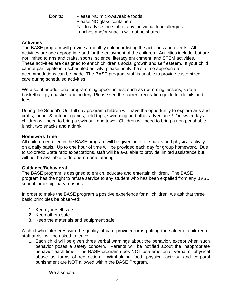Don'ts: Please NO microwaveable foods Please NO glass containers Fail to advise the staff of any individual food allergies Lunches and/or snacks will not be shared

# **Activities**

The BASE program will provide a monthly calendar listing the activities and events. All activities are age appropriate and for the enjoyment of the children. Activities include, but are not limited to arts and crafts, sports, science, literacy enrichment, and STEM activities. These activities are designed to enrich children's social growth and self esteem. If your child cannot participate in a scheduled activity, please notify the staff so appropriate accommodations can be made. The BASE program staff is unable to provide customized care during scheduled activities.

We also offer additional programming opportunities, such as swimming lessons, karate, basketball, gymnastics and pottery. Please see the current recreation guide for details and fees.

During the School's Out full day program children will have the opportunity to explore arts and crafts, indoor & outdoor games, field trips, swimming and other adventures! On swim days children will need to bring a swimsuit and towel. Children will need to bring a non perishable lunch, two snacks and a drink.

#### **Homework Time**

All children enrolled in the BASE program will be given time for snacks and physical activity on a daily basis. Up to one hour of time will be provided each day for group homework. Due to Colorado State ratio expectations, staff will be available to provide limited assistance but will not be available to do one-on-one tutoring.

#### **Guidance/Behavioral**

The BASE program is designed to enrich, educate and entertain children. The BASE program has the right to refuse service to any student who has been expelled from any BVSD school for disciplinary reasons.

In order to make the BASE program a positive experience for all children, we ask that three basic principles be observed:

- 1. Keep yourself safe
- 2. Keep others safe
- 3. Keep the materials and equipment safe

A child who interferes with the quality of care provided or is putting the safety of children or staff at risk will be asked to leave.

1. Each child will be given three verbal warnings about the behavior, except when such behavior poses a safety concern. Parents will be notified about the inappropriate behavior each time. The BASE program does NOT use emotional, verbal or physical abuse as forms of redirection. Withholding food, physical activity, and corporal punishment are NOT allowed within the BASE Program.

We also use: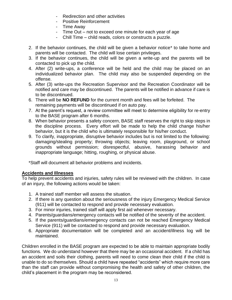- Redirection and other activities
- Positive Reinforcement
- Time Away
- Time Out not to exceed one minute for each year of age
- Chill Time child reads, colors or constructs a puzzle.
- 2. If the behavior continues, the child will be given a behavior notice\* to take home and parents will be contacted. The child will lose certain privileges.
- 3. If the behavior continues, the child will be given a write-up and the parents will be contacted to pick up the child.
- 4. After (2) write-ups, a conference will be held and the child may be placed on an individualized behavior plan. The child may also be suspended depending on the offense.
- 5. After (3) write-ups the Recreation Supervisor and the Recreation Coordinator will be notified and care may be discontinued. The parents will be notified in advance if care is to be discontinued.
- 6. There will be **NO REFUND** for the current month and fees will be forfeited. The remaining payments will be discontinued if on auto pay.
- 7. At the parent's request, a review committee will meet to determine eligibility for re-entry to the BASE program after 6 months.
- 8. When behavior presents a safety concern, BASE staff reserves the right to skip steps in the discipline process. Every effort will be made to help the child change his/her behavior, but it is the child who is ultimately responsible for his/her conduct.
- 9. To clarify, inappropriate, disruptive behavior includes but is not limited to the following: damaging/stealing property; throwing objects; leaving room, playground, or school grounds without permission; disrespectful, abusive, harassing behavior and inappropriate language; hitting, roughing, or physical abuse.

\*Staff will document all behavior problems and incidents.

# **Accidents and Illnesses**

To help prevent accidents and injuries, safety rules will be reviewed with the children. In case of an injury, the following actions would be taken:

- 1. A trained staff member will assess the situation.
- 2. If there is any question about the seriousness of the injury Emergency Medical Service (911) will be contacted to respond and provide necessary evaluation.
- 3. For minor injuries, trained staff will apply first aid whenever necessary.
- 4. Parents/guardians/emergency contacts will be notified of the severity of the accident.
- 5. If the parents/guardians/emergency contacts can not be reached Emergency Medical Service (911) will be contacted to respond and provide necessary evaluation.
- 6. Appropriate documentation will be completed and an accident/illness log will be maintained.

Children enrolled in the BASE program are expected to be able to maintain appropriate bodily functions. We do understand however that there may be an occasional accident. If a child has an accident and soils their clothing, parents will need to come clean their child if the child is unable to do so themselves. Should a child have repeated "accidents" which require more care than the staff can provide without compromising the health and safety of other children, the child's placement in the program may be reconsidered.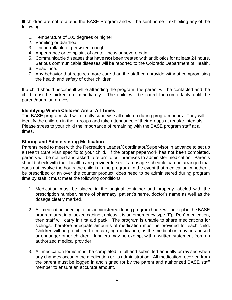Ill children are not to attend the BASE Program and will be sent home if exhibiting any of the following:

- 1. Temperature of 100 degrees or higher.
- 2. Vomiting or diarrhea.
- 3. Uncontrollable or persistent cough.
- 4. Appearance or complaint of acute illness or severe pain.
- 5. Communicable diseases that have **not** been treated with antibiotics for at least 24 hours. Serious communicable diseases will be reported to the Colorado Department of Health.
- 6. Head Lice.
- 7. Any behavior that requires more care than the staff can provide without compromising the health and safety of other children.

If a child should become ill while attending the program, the parent will be contacted and the child must be picked up immediately. The child will be cared for comfortably until the parent/guardian arrives.

# **Identifying Where Children Are at All Times**

The BASE program staff will directly supervise all children during program hours. They will identify the children in their groups and take attendance of their groups at regular intervals. Please stress to your child the importance of remaining with the BASE program staff at all times.

#### **Storing and Administering Medication**

Parents need to meet with the Recreation Leader/Coordinator/Supervisor in advance to set up a Health Care Plan specific to your child. If the proper paperwork has not been completed, parents will be notified and asked to return to our premises to administer medication. Parents should check with their health care provider to see if a dosage schedule can be arranged that does not involve the hours the child is in the program. In the event that medication, whether it be prescribed or an over the counter product, does need to be administered during program time by staff it must meet the following conditions:

- 1. Medication must be placed in the original container and properly labeled with the prescription number, name of pharmacy, patient's name, doctor's name as well as the dosage clearly marked.
- 2. All medication needing to be administered during program hours will be kept in the BASE program area in a locked cabinet, unless it is an emergency type (Epi-Pen) medication, then staff will carry in first aid pack. The program is unable to share medications for siblings, therefore adequate amounts of medication must be provided for each child. Children will be prohibited from carrying medication, as the medication may be abused or endanger other children. Inhalers may be exempt with a written statement from an authorized medical provider.
- 3. All medication forms must be completed in full and submitted annually or revised when any changes occur in the medication or its administration. All medication received from the parent must be logged in and signed for by the parent and authorized BASE staff member to ensure an accurate amount.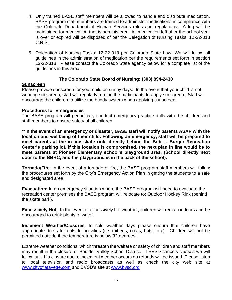- 4. Only trained BASE staff members will be allowed to handle and distribute medication. BASE program staff members are trained to administer medications in compliance with the Colorado Department of Human Services rules and regulations. A log will be maintained for medication that is administered. All medication left after the school year is over or expired will be disposed of per the Delegation of Nursing Tasks: 12-22-318 C.R.S.
- 5. Delegation of Nursing Tasks: 12-22-318 per Colorado State Law: We will follow all guidelines in the administration of medication per the requirements set forth in section 12-22-318. Please contact the Colorado State agency below for a complete list of the guidelines in this area.

#### **The Colorado State Board of Nursing: (303) 894-2430**

#### **Sunscreen**

Please provide sunscreen for your child on sunny days. In the event that your child is not wearing sunscreen, staff will regularly remind the participants to apply sunscreen. Staff will encourage the children to utilize the buddy system when applying sunscreen.

#### **Procedures for Emergencies**

The BASE program will periodically conduct emergency practice drills with the children and staff members to ensure safety of all children.

**\*\*In the event of an emergency or disaster, BASE staff will notify parents ASAP with the location and wellbeing of their child. Following an emergency, staff will be prepared to meet parents at the in-line skate rink, directly behind the Bob L. Burger Recreation Center's parking lot. If this location is compromised, the next plan in line would be to meet parents at Pioneer Elementary school's playground area. (School directly next door to the BBRC, and the playground is in the back of the school).**

**Tornado/Fire**: In the event of a tornado or fire, the BASE program staff members will follow the procedures set forth by the City's Emergency Action Plan in getting the students to a safe and designated area.

**Evacuation:** In an emergency situation where the BASE program will need to evacuate the recreation center premises the BASE program will relocate to: Outdoor Hockey Rink (behind the skate park).

**Excessively Hot**: In the event of excessively hot weather, children will remain indoors and be encouraged to drink plenty of water.

**Inclement Weather/Closures**: In cold weather days please ensure that children have appropriate dress for outside activities (i.e. mittens, coats, hats, etc.). Children will not be permitted outside if the temperature is below 32 degrees.

Extreme weather conditions, which threaten the welfare or safety of children and staff members may result in the closure of Boulder Valley School District. If BVSD cancels classes we will follow suit. If a closure due to inclement weather occurs no refunds will be issued. Please listen to local television and radio broadcasts as well as check the city web site at [www.cityoflafayette.com](http://www.cityoflafayette.com/) and BVSD's site at [www.bvsd.org](http://www.bvsd.org/)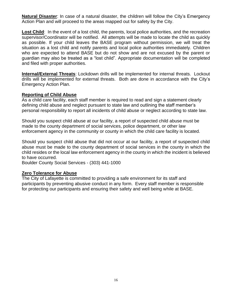**Natural Disaster**: In case of a natural disaster, the children will follow the City's Emergency Action Plan and will proceed to the areas mapped out for safety by the City.

**Lost Child**: In the event of a lost child, the parents, local police authorities, and the recreation supervisor/Coordinator will be notified. All attempts will be made to locate the child as quickly as possible. If your child leaves the BASE program without permission, we will treat the situation as a lost child and notify parents and local police authorities immediately. Children who are expected to attend BASE but do not show and are not excused by the parent or guardian may also be treated as a "lost child". Appropriate documentation will be completed and filed with proper authorities.

**Internal/External Threats**: Lockdown drills will be implemented for internal threats. Lockout drills will be implemented for external threats. Both are done in accordance with the City's Emergency Action Plan.

#### **Reporting of Child Abuse**

As a child care facility, each staff member is required to read and sign a statement clearly defining child abuse and neglect pursuant to state law and outlining the staff member's personal responsibility to report all incidents of child abuse or neglect according to state law.

Should you suspect child abuse at our facility, a report of suspected child abuse must be made to the county department of social services, police department, or other law enforcement agency in the community or county in which the child care facility is located.

Should you suspect child abuse that did not occur at our facility, a report of suspected child abuse must be made to the county department of social services in the county in which the child resides or the local law enforcement agency in the county in which the incident is believed to have occurred.

Boulder County Social Services - (303) 441-1000

#### **Zero Tolerance for Abuse**

The City of Lafayette is committed to providing a safe environment for its staff and participants by preventing abusive conduct in any form. Every staff member is responsible for protecting our participants and ensuring their safety and well being while at BASE.